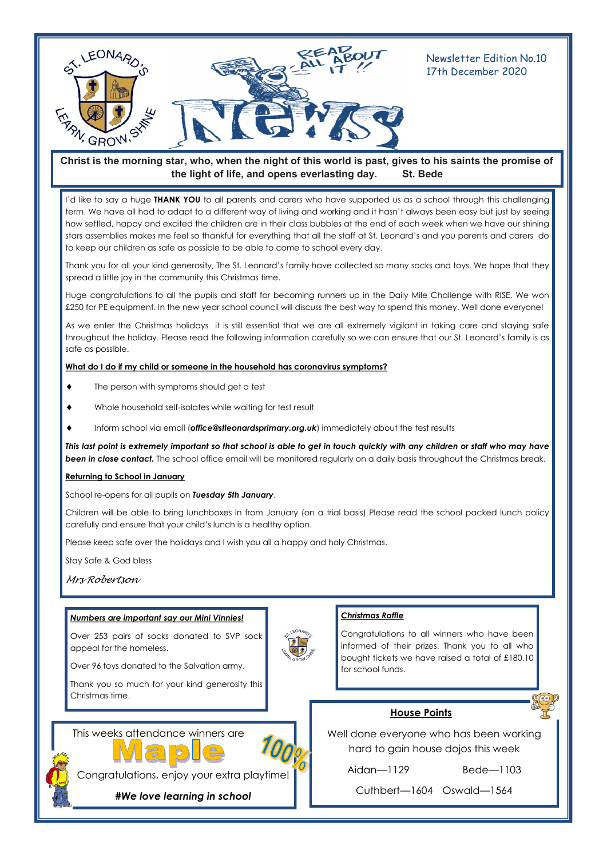

Newsletter Edition No.10 17th December 2020

# **Christ is the morning star, who, when the night of this world is past, gives to his saints the promise of the light of life, and opens everlasting day. St. Bede**

I'd like to say a huge **THANK YOU** to all parents and carers who have supported us as a school through this challenging term. We have all had to adapt to a different way of living and working and it hasn't always been easy but just by seeing how settled, happy and excited the children are in their class bubbles at the end of each week when we have our shining stars assemblies makes me feel so thankful for everything that all the staff at St. Leonard's and you parents and carers do to keep our children as safe as possible to be able to come to school every day.

Thank you for all your kind generosity, The St. Leonard's family have collected so many socks and toys. We hope that they spread a little joy in the community this Christmas time.

Huge congratulations to all the pupils and staff for becoming runners up in the Daily Mile Challenge with RISE. We won £250 for PE equipment. In the new year school council will discuss the best way to spend this money. Well done everyone!

As we enter the Christmas holidays it is still essential that we are all extremely vigilant in taking care and staying safe throughout the holiday. Please read the following information carefully so we can ensure that our St. Leonard's family is as safe as possible.

#### **What do I do if my child or someone in the household has coronavirus symptoms?**

- The person with symptoms should get a test
- Whole household self-isolates while waiting for test result
- Inform school via email (*office@stleonardsprimary.org.uk*) immediately about the test results

*This last point is extremely important so that school is able to get in touch quickly with any children or staff who may have* **been in close contact.** The school office email will be monitored regularly on a daily basis throughout the Christmas break.

#### **Returning to School in January**

School re-opens for all pupils on *Tuesday 5th January*.

Children will be able to bring lunchboxes in from January (on a trial basis) Please read the school packed lunch policy carefully and ensure that your child's lunch is a healthy option.

Please keep safe over the holidays and I wish you all a happy and holy Christmas.

Stay Safe & God bless

*Mrs Robertson*

## *Numbers are important say our Mini Vinnies!*

Over 253 pairs of socks donated to SVP sock appeal for the homeless.

Over 96 toys donated to the Salvation army.

Thank you so much for your kind generosity this Christmas time.





Congratulations, enjoy your extra playtime!

*#We love learning in school*

## *Christmas Raffle*

Congratulations to all winners who have been informed of their prizes. Thank you to all who bought tickets we have raised a total of £180.10 for school funds.

## **House Points**

Well done everyone who has been working hard to gain house dojos this week

Aidan—1129 Bede—1103

Cuthbert—1604 Oswald—1564